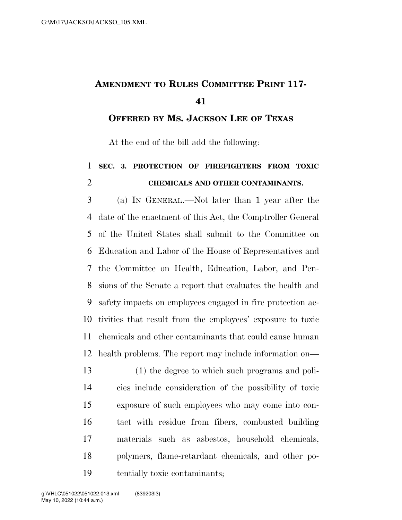## **AMENDMENT TO RULES COMMITTEE PRINT 117-**

**OFFERED BY MS. JACKSON LEE OF TEXAS**

At the end of the bill add the following:

## **SEC. 3. PROTECTION OF FIREFIGHTERS FROM TOXIC CHEMICALS AND OTHER CONTAMINANTS.**

 (a) IN GENERAL.—Not later than 1 year after the date of the enactment of this Act, the Comptroller General of the United States shall submit to the Committee on Education and Labor of the House of Representatives and the Committee on Health, Education, Labor, and Pen- sions of the Senate a report that evaluates the health and safety impacts on employees engaged in fire protection ac- tivities that result from the employees' exposure to toxic chemicals and other contaminants that could cause human health problems. The report may include information on—

 (1) the degree to which such programs and poli- cies include consideration of the possibility of toxic exposure of such employees who may come into con- tact with residue from fibers, combusted building materials such as asbestos, household chemicals, polymers, flame-retardant chemicals, and other po-tentially toxic contaminants;